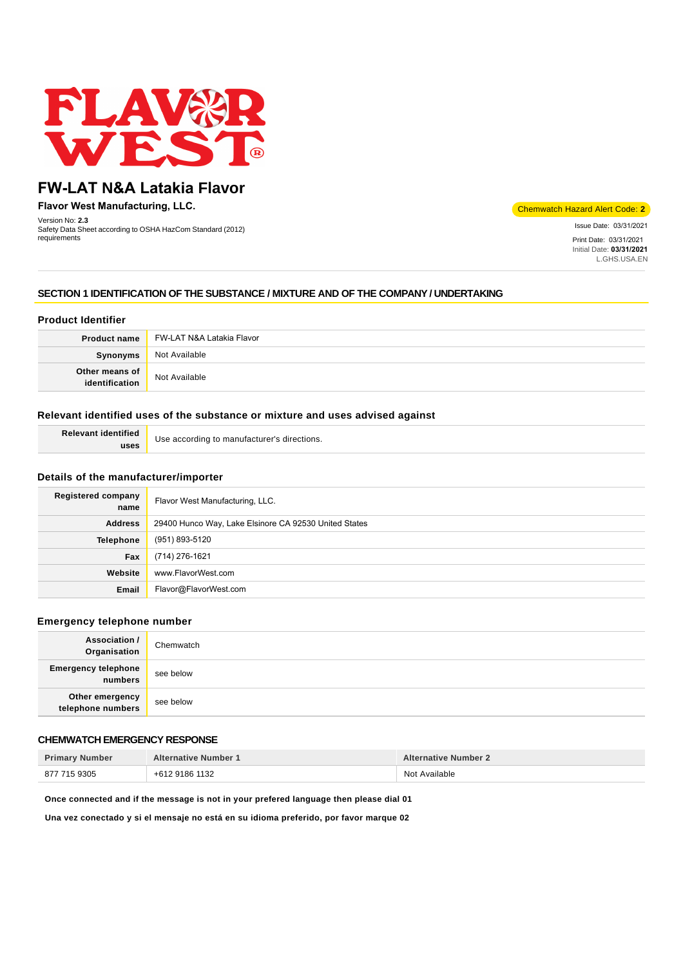

# **FW-LAT N&A Latakia Flavor**

**Flavor West Manufacturing, LLC.**

Version No: **2.3** Safety Data Sheet according to OSHA HazCom Standard (2012) requirements

Chemwatch Hazard Alert Code: **2**

Issue Date: 03/31/2021 Print Date: 03/31/2021 Initial Date: **03/31/2021** L.GHS.USA.EN

# **SECTION 1 IDENTIFICATION OF THE SUBSTANCE / MIXTURE AND OF THE COMPANY / UNDERTAKING**

# **Product Identifier**

| <b>Product name</b>              | FW-LAT N&A Latakia Flavor |
|----------------------------------|---------------------------|
| Synonyms                         | Not Available             |
| Other means of<br>identification | Not Available             |

## **Relevant identified uses of the substance or mixture and uses advised against**

| <b>Relevant identified</b> | Use according to manufacturer's directions. |
|----------------------------|---------------------------------------------|
| uses                       |                                             |

### **Details of the manufacturer/importer**

| <b>Registered company</b><br>name | Flavor West Manufacturing, LLC.                       |
|-----------------------------------|-------------------------------------------------------|
| <b>Address</b>                    | 29400 Hunco Way, Lake Elsinore CA 92530 United States |
| Telephone                         | (951) 893-5120                                        |
| Fax                               | (714) 276-1621                                        |
| Website                           | www.FlavorWest.com                                    |
| Email                             | Flavor@FlavorWest.com                                 |

### **Emergency telephone number**

| <b>Association /</b><br>Organisation  | Chemwatch |
|---------------------------------------|-----------|
| <b>Emergency telephone</b><br>numbers | see below |
| Other emergency<br>telephone numbers  | see below |

# **CHEMWATCH EMERGENCY RESPONSE**

| <b>Primary Number</b> | <b>Alternative Number 1</b> | <b>Alternative Number 2</b> |
|-----------------------|-----------------------------|-----------------------------|
| 877 715 9305          | +612 9186 1132              | Not Available               |

**Once connected and if the message is not in your prefered language then please dial 01**

**Una vez conectado y si el mensaje no está en su idioma preferido, por favor marque 02**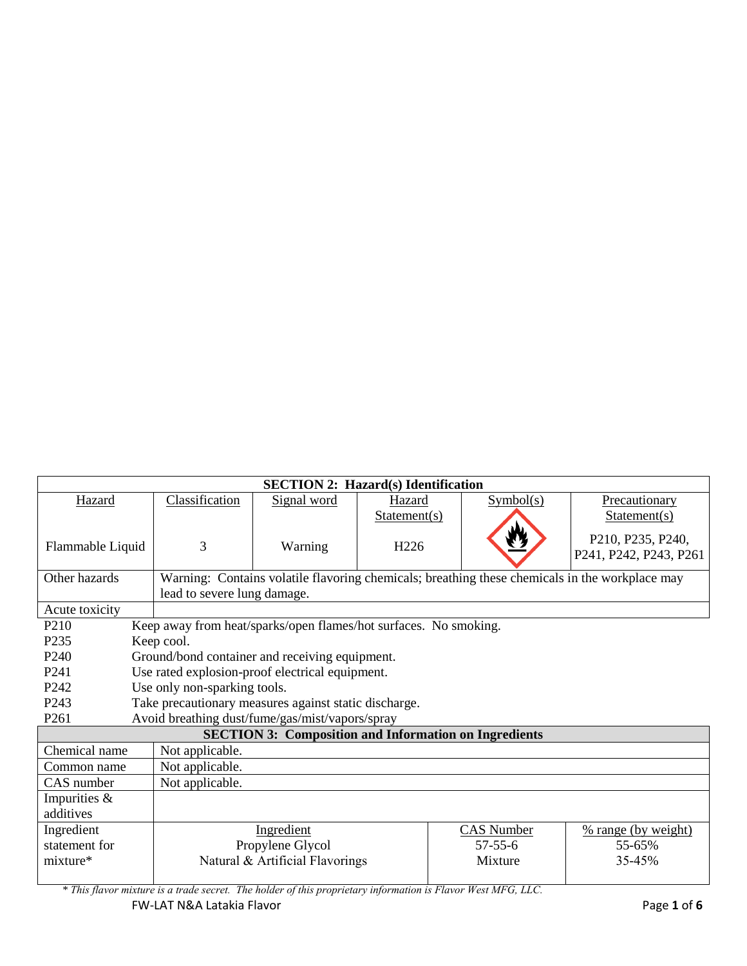| <b>SECTION 2: Hazard(s) Identification</b>                                |                              |                                                                  |                  |                                                              |                                                                                                |
|---------------------------------------------------------------------------|------------------------------|------------------------------------------------------------------|------------------|--------------------------------------------------------------|------------------------------------------------------------------------------------------------|
| Hazard                                                                    | Classification               | Signal word                                                      | Hazard           | Symbol(s)                                                    | Precautionary                                                                                  |
|                                                                           |                              |                                                                  | Statement(s)     |                                                              | Statement(s)                                                                                   |
|                                                                           |                              |                                                                  |                  |                                                              | P210, P235, P240,                                                                              |
| Flammable Liquid                                                          | 3                            | Warning                                                          | H <sub>226</sub> |                                                              | P241, P242, P243, P261                                                                         |
|                                                                           |                              |                                                                  |                  |                                                              |                                                                                                |
| Other hazards                                                             |                              |                                                                  |                  |                                                              | Warning: Contains volatile flavoring chemicals; breathing these chemicals in the workplace may |
|                                                                           | lead to severe lung damage.  |                                                                  |                  |                                                              |                                                                                                |
| Acute toxicity                                                            |                              |                                                                  |                  |                                                              |                                                                                                |
| P <sub>210</sub>                                                          |                              | Keep away from heat/sparks/open flames/hot surfaces. No smoking. |                  |                                                              |                                                                                                |
| P <sub>235</sub>                                                          | Keep cool.                   |                                                                  |                  |                                                              |                                                                                                |
| P <sub>240</sub>                                                          |                              | Ground/bond container and receiving equipment.                   |                  |                                                              |                                                                                                |
| P <sub>241</sub>                                                          |                              | Use rated explosion-proof electrical equipment.                  |                  |                                                              |                                                                                                |
| P <sub>242</sub>                                                          | Use only non-sparking tools. |                                                                  |                  |                                                              |                                                                                                |
| P <sub>243</sub><br>Take precautionary measures against static discharge. |                              |                                                                  |                  |                                                              |                                                                                                |
| P <sub>261</sub>                                                          |                              | Avoid breathing dust/fume/gas/mist/vapors/spray                  |                  |                                                              |                                                                                                |
|                                                                           |                              |                                                                  |                  | <b>SECTION 3: Composition and Information on Ingredients</b> |                                                                                                |
| Chemical name                                                             | Not applicable.              |                                                                  |                  |                                                              |                                                                                                |
| Common name                                                               | Not applicable.              |                                                                  |                  |                                                              |                                                                                                |
| CAS number                                                                | Not applicable.              |                                                                  |                  |                                                              |                                                                                                |
| Impurities &                                                              |                              |                                                                  |                  |                                                              |                                                                                                |
| additives                                                                 |                              |                                                                  |                  |                                                              |                                                                                                |
| Ingredient                                                                |                              | Ingredient                                                       |                  | CAS Number                                                   | % range (by weight)                                                                            |
| statement for                                                             |                              | Propylene Glycol                                                 |                  | $57 - 55 - 6$                                                | 55-65%                                                                                         |
| mixture*                                                                  |                              | Natural & Artificial Flavorings                                  |                  | Mixture                                                      | 35-45%                                                                                         |
|                                                                           |                              |                                                                  |                  |                                                              |                                                                                                |

FW-LAT N&A Latakia Flavor **Page 1** of **6** *\* This flavor mixture is a trade secret. The holder of this proprietary information is Flavor West MFG, LLC.*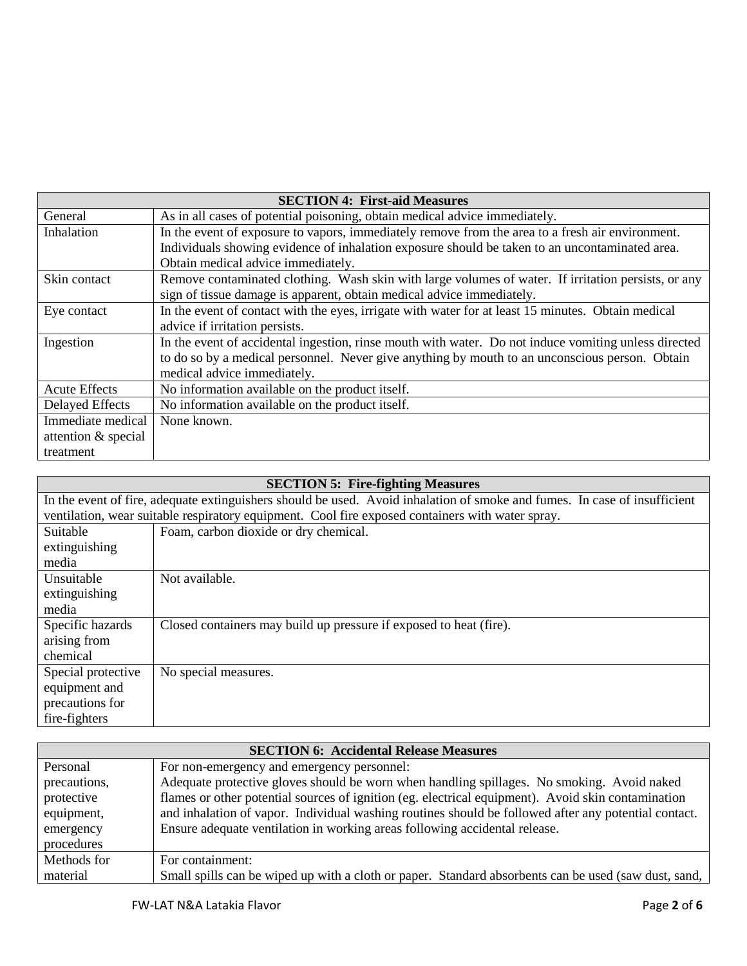| <b>SECTION 4: First-aid Measures</b> |                                                                                                      |  |
|--------------------------------------|------------------------------------------------------------------------------------------------------|--|
| General                              | As in all cases of potential poisoning, obtain medical advice immediately.                           |  |
| Inhalation                           | In the event of exposure to vapors, immediately remove from the area to a fresh air environment.     |  |
|                                      | Individuals showing evidence of inhalation exposure should be taken to an uncontaminated area.       |  |
|                                      | Obtain medical advice immediately.                                                                   |  |
| Skin contact                         | Remove contaminated clothing. Wash skin with large volumes of water. If irritation persists, or any  |  |
|                                      | sign of tissue damage is apparent, obtain medical advice immediately.                                |  |
| Eye contact                          | In the event of contact with the eyes, irrigate with water for at least 15 minutes. Obtain medical   |  |
|                                      | advice if irritation persists.                                                                       |  |
| Ingestion                            | In the event of accidental ingestion, rinse mouth with water. Do not induce vomiting unless directed |  |
|                                      | to do so by a medical personnel. Never give anything by mouth to an unconscious person. Obtain       |  |
|                                      | medical advice immediately.                                                                          |  |
| <b>Acute Effects</b>                 | No information available on the product itself.                                                      |  |
| <b>Delayed Effects</b>               | No information available on the product itself.                                                      |  |
| Immediate medical                    | None known.                                                                                          |  |
| attention & special                  |                                                                                                      |  |
| treatment                            |                                                                                                      |  |

| <b>SECTION 5: Fire-fighting Measures</b>                                                                                  |                                                                    |  |
|---------------------------------------------------------------------------------------------------------------------------|--------------------------------------------------------------------|--|
| In the event of fire, adequate extinguishers should be used. Avoid inhalation of smoke and fumes. In case of insufficient |                                                                    |  |
| ventilation, wear suitable respiratory equipment. Cool fire exposed containers with water spray.                          |                                                                    |  |
| Suitable                                                                                                                  | Foam, carbon dioxide or dry chemical.                              |  |
| extinguishing                                                                                                             |                                                                    |  |
| media                                                                                                                     |                                                                    |  |
| Unsuitable                                                                                                                | Not available.                                                     |  |
| extinguishing                                                                                                             |                                                                    |  |
| media                                                                                                                     |                                                                    |  |
| Specific hazards                                                                                                          | Closed containers may build up pressure if exposed to heat (fire). |  |
| arising from                                                                                                              |                                                                    |  |
| chemical                                                                                                                  |                                                                    |  |
| Special protective                                                                                                        | No special measures.                                               |  |
| equipment and                                                                                                             |                                                                    |  |
| precautions for                                                                                                           |                                                                    |  |
| fire-fighters                                                                                                             |                                                                    |  |

| <b>SECTION 6: Accidental Release Measures</b> |                                                                                                      |  |
|-----------------------------------------------|------------------------------------------------------------------------------------------------------|--|
| Personal                                      | For non-emergency and emergency personnel:                                                           |  |
| precautions,                                  | Adequate protective gloves should be worn when handling spillages. No smoking. Avoid naked           |  |
| protective                                    | flames or other potential sources of ignition (eg. electrical equipment). Avoid skin contamination   |  |
| equipment,                                    | and inhalation of vapor. Individual washing routines should be followed after any potential contact. |  |
| emergency                                     | Ensure adequate ventilation in working areas following accidental release.                           |  |
| procedures                                    |                                                                                                      |  |
| Methods for                                   | For containment:                                                                                     |  |
| material                                      | Small spills can be wiped up with a cloth or paper. Standard absorbents can be used (saw dust, sand, |  |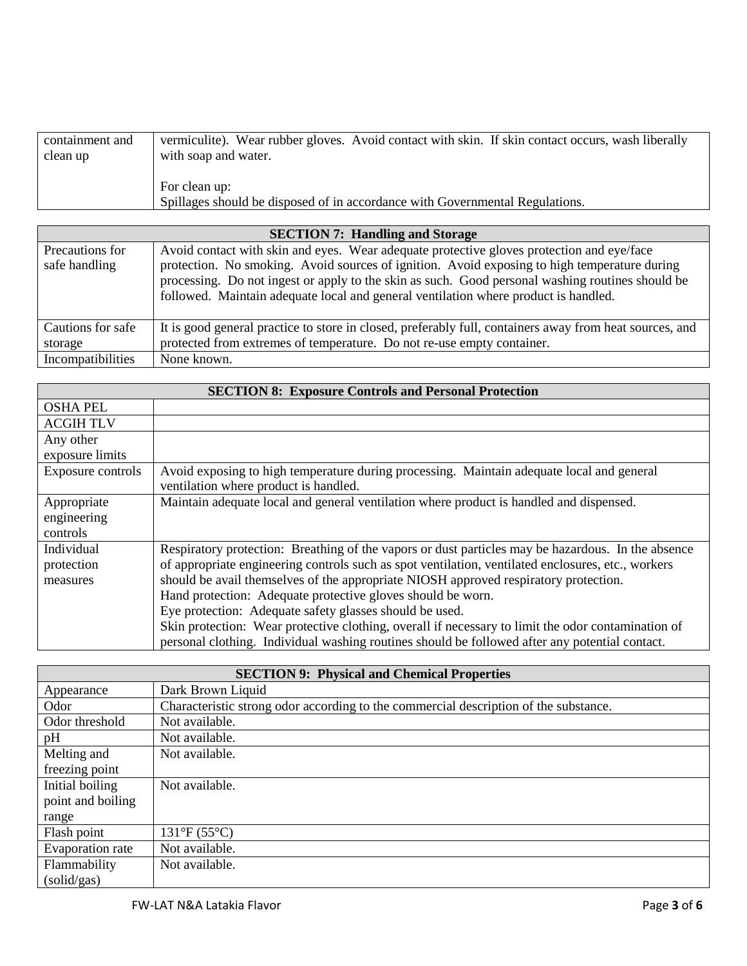| containment and | vermiculite). Wear rubber gloves. Avoid contact with skin. If skin contact occurs, wash liberally |
|-----------------|---------------------------------------------------------------------------------------------------|
| clean up        | with soap and water.                                                                              |
|                 |                                                                                                   |
|                 | For clean up:                                                                                     |
|                 | Spillages should be disposed of in accordance with Governmental Regulations.                      |

| <b>SECTION 7: Handling and Storage</b> |                                                                                                         |  |
|----------------------------------------|---------------------------------------------------------------------------------------------------------|--|
| Precautions for                        | Avoid contact with skin and eyes. Wear adequate protective gloves protection and eye/face               |  |
| safe handling                          | protection. No smoking. Avoid sources of ignition. Avoid exposing to high temperature during            |  |
|                                        | processing. Do not ingest or apply to the skin as such. Good personal washing routines should be        |  |
|                                        | followed. Maintain adequate local and general ventilation where product is handled.                     |  |
|                                        |                                                                                                         |  |
| Cautions for safe                      | It is good general practice to store in closed, preferably full, containers away from heat sources, and |  |
| storage                                | protected from extremes of temperature. Do not re-use empty container.                                  |  |
| Incompatibilities                      | None known.                                                                                             |  |

| <b>SECTION 8: Exposure Controls and Personal Protection</b> |                                                                                                    |  |
|-------------------------------------------------------------|----------------------------------------------------------------------------------------------------|--|
| <b>OSHA PEL</b>                                             |                                                                                                    |  |
| <b>ACGIH TLV</b>                                            |                                                                                                    |  |
| Any other                                                   |                                                                                                    |  |
| exposure limits                                             |                                                                                                    |  |
| Exposure controls                                           | Avoid exposing to high temperature during processing. Maintain adequate local and general          |  |
|                                                             | ventilation where product is handled.                                                              |  |
| Appropriate                                                 | Maintain adequate local and general ventilation where product is handled and dispensed.            |  |
| engineering                                                 |                                                                                                    |  |
| controls                                                    |                                                                                                    |  |
| Individual                                                  | Respiratory protection: Breathing of the vapors or dust particles may be hazardous. In the absence |  |
| protection                                                  | of appropriate engineering controls such as spot ventilation, ventilated enclosures, etc., workers |  |
| measures                                                    | should be avail themselves of the appropriate NIOSH approved respiratory protection.               |  |
|                                                             | Hand protection: Adequate protective gloves should be worn.                                        |  |
|                                                             | Eye protection: Adequate safety glasses should be used.                                            |  |
|                                                             | Skin protection: Wear protective clothing, overall if necessary to limit the odor contamination of |  |
|                                                             | personal clothing. Individual washing routines should be followed after any potential contact.     |  |

| <b>SECTION 9: Physical and Chemical Properties</b> |                                                                                      |  |
|----------------------------------------------------|--------------------------------------------------------------------------------------|--|
| Appearance                                         | Dark Brown Liquid                                                                    |  |
| Odor                                               | Characteristic strong odor according to the commercial description of the substance. |  |
| Odor threshold                                     | Not available.                                                                       |  |
| pH                                                 | Not available.                                                                       |  |
| Melting and                                        | Not available.                                                                       |  |
| freezing point                                     |                                                                                      |  |
| Initial boiling                                    | Not available.                                                                       |  |
| point and boiling                                  |                                                                                      |  |
| range                                              |                                                                                      |  |
| Flash point                                        | $131^{\circ}F(55^{\circ}C)$                                                          |  |
| Evaporation rate                                   | Not available.                                                                       |  |
| Flammability                                       | Not available.                                                                       |  |
| (solid/gas)                                        |                                                                                      |  |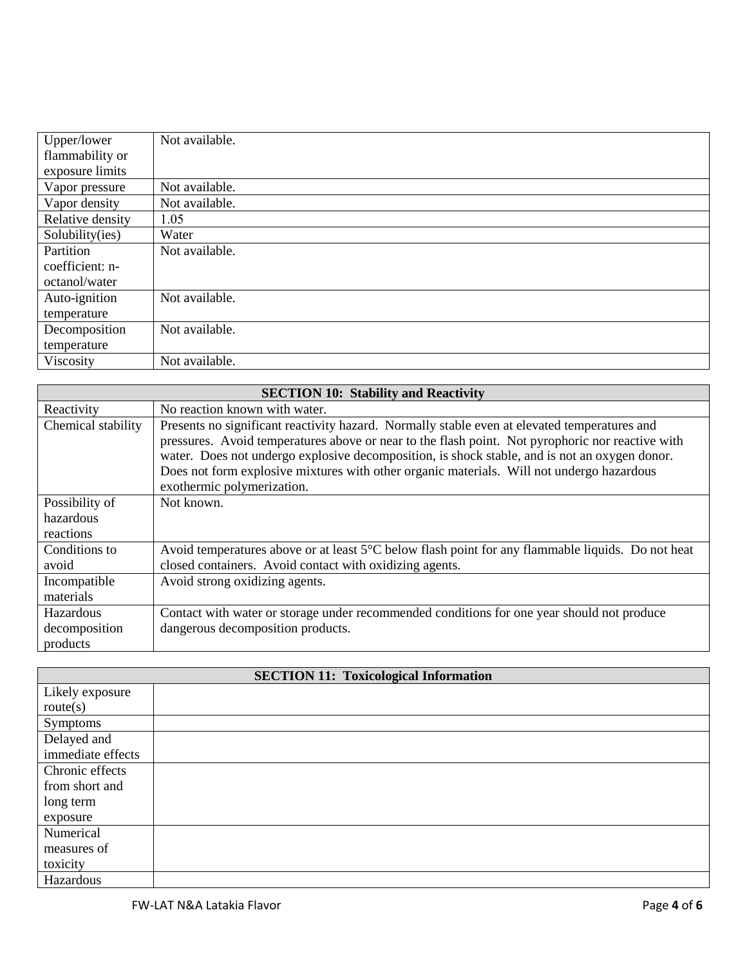| Upper/lower      | Not available. |
|------------------|----------------|
| flammability or  |                |
| exposure limits  |                |
| Vapor pressure   | Not available. |
| Vapor density    | Not available. |
| Relative density | 1.05           |
| Solubility(ies)  | Water          |
| Partition        | Not available. |
| coefficient: n-  |                |
| octanol/water    |                |
| Auto-ignition    | Not available. |
| temperature      |                |
| Decomposition    | Not available. |
| temperature      |                |
| Viscosity        | Not available. |

| <b>SECTION 10: Stability and Reactivity</b> |                                                                                                   |  |  |  |
|---------------------------------------------|---------------------------------------------------------------------------------------------------|--|--|--|
| Reactivity                                  | No reaction known with water.                                                                     |  |  |  |
| Chemical stability                          | Presents no significant reactivity hazard. Normally stable even at elevated temperatures and      |  |  |  |
|                                             | pressures. Avoid temperatures above or near to the flash point. Not pyrophoric nor reactive with  |  |  |  |
|                                             | water. Does not undergo explosive decomposition, is shock stable, and is not an oxygen donor.     |  |  |  |
|                                             | Does not form explosive mixtures with other organic materials. Will not undergo hazardous         |  |  |  |
|                                             | exothermic polymerization.                                                                        |  |  |  |
| Possibility of                              | Not known.                                                                                        |  |  |  |
| hazardous                                   |                                                                                                   |  |  |  |
| reactions                                   |                                                                                                   |  |  |  |
| Conditions to                               | Avoid temperatures above or at least 5°C below flash point for any flammable liquids. Do not heat |  |  |  |
| avoid                                       | closed containers. Avoid contact with oxidizing agents.                                           |  |  |  |
| Incompatible                                | Avoid strong oxidizing agents.                                                                    |  |  |  |
| materials                                   |                                                                                                   |  |  |  |
| Hazardous                                   | Contact with water or storage under recommended conditions for one year should not produce        |  |  |  |
| decomposition                               | dangerous decomposition products.                                                                 |  |  |  |
| products                                    |                                                                                                   |  |  |  |

| <b>SECTION 11: Toxicological Information</b> |  |  |
|----------------------------------------------|--|--|
| Likely exposure                              |  |  |
| route(s)                                     |  |  |
| Symptoms                                     |  |  |
| Delayed and                                  |  |  |
| immediate effects                            |  |  |
| Chronic effects                              |  |  |
| from short and                               |  |  |
| long term                                    |  |  |
| exposure                                     |  |  |
| Numerical                                    |  |  |
| measures of                                  |  |  |
| toxicity                                     |  |  |
| Hazardous                                    |  |  |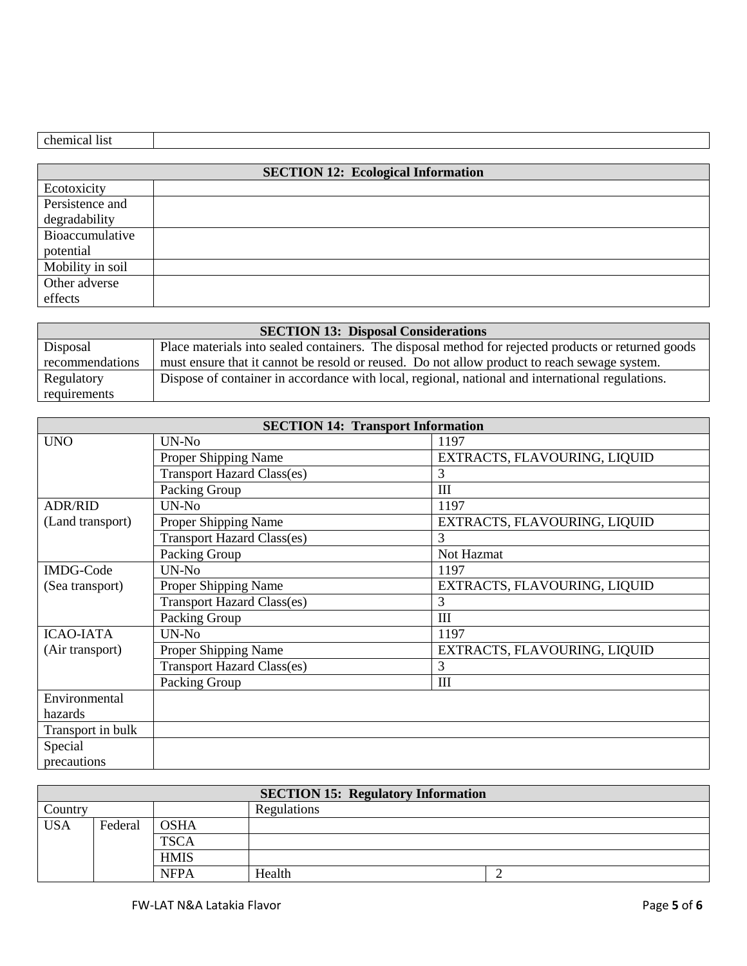| <b>SECTION 12: Ecological Information</b> |  |  |
|-------------------------------------------|--|--|
| Ecotoxicity                               |  |  |
| Persistence and                           |  |  |
| degradability                             |  |  |
| Bioaccumulative                           |  |  |
| potential                                 |  |  |
| Mobility in soil                          |  |  |
| Other adverse                             |  |  |
| effects                                   |  |  |

| <b>SECTION 13: Disposal Considerations</b> |                                                                                                     |  |  |
|--------------------------------------------|-----------------------------------------------------------------------------------------------------|--|--|
| Disposal                                   | Place materials into sealed containers. The disposal method for rejected products or returned goods |  |  |
| recommendations                            | must ensure that it cannot be resold or reused. Do not allow product to reach sewage system.        |  |  |
| Regulatory                                 | Dispose of container in accordance with local, regional, national and international regulations.    |  |  |
| requirements                               |                                                                                                     |  |  |

| <b>SECTION 14: Transport Information</b> |                                   |                              |
|------------------------------------------|-----------------------------------|------------------------------|
| <b>UNO</b>                               | UN-No                             | 1197                         |
|                                          | Proper Shipping Name              | EXTRACTS, FLAVOURING, LIQUID |
|                                          | <b>Transport Hazard Class(es)</b> | 3                            |
|                                          | Packing Group                     | Ш                            |
| <b>ADR/RID</b>                           | UN-No                             | 1197                         |
| (Land transport)                         | Proper Shipping Name              | EXTRACTS, FLAVOURING, LIQUID |
|                                          | <b>Transport Hazard Class(es)</b> | 3                            |
|                                          | Packing Group                     | Not Hazmat                   |
| <b>IMDG-Code</b>                         | UN-No                             | 1197                         |
| (Sea transport)                          | Proper Shipping Name              | EXTRACTS, FLAVOURING, LIQUID |
|                                          | <b>Transport Hazard Class(es)</b> | 3                            |
|                                          | Packing Group                     | Ш                            |
| <b>ICAO-IATA</b>                         | UN-No                             | 1197                         |
| (Air transport)                          | Proper Shipping Name              | EXTRACTS, FLAVOURING, LIQUID |
|                                          | <b>Transport Hazard Class(es)</b> | 3                            |
|                                          | Packing Group                     | III                          |
| Environmental                            |                                   |                              |
| hazards                                  |                                   |                              |
| Transport in bulk                        |                                   |                              |
| Special                                  |                                   |                              |
| precautions                              |                                   |                              |

| <b>SECTION 15: Regulatory Information</b> |         |             |        |  |
|-------------------------------------------|---------|-------------|--------|--|
| Regulations<br>Country                    |         |             |        |  |
| <b>USA</b>                                | Federal | <b>OSHA</b> |        |  |
|                                           |         | <b>TSCA</b> |        |  |
|                                           |         | <b>HMIS</b> |        |  |
|                                           |         | <b>NFPA</b> | Health |  |